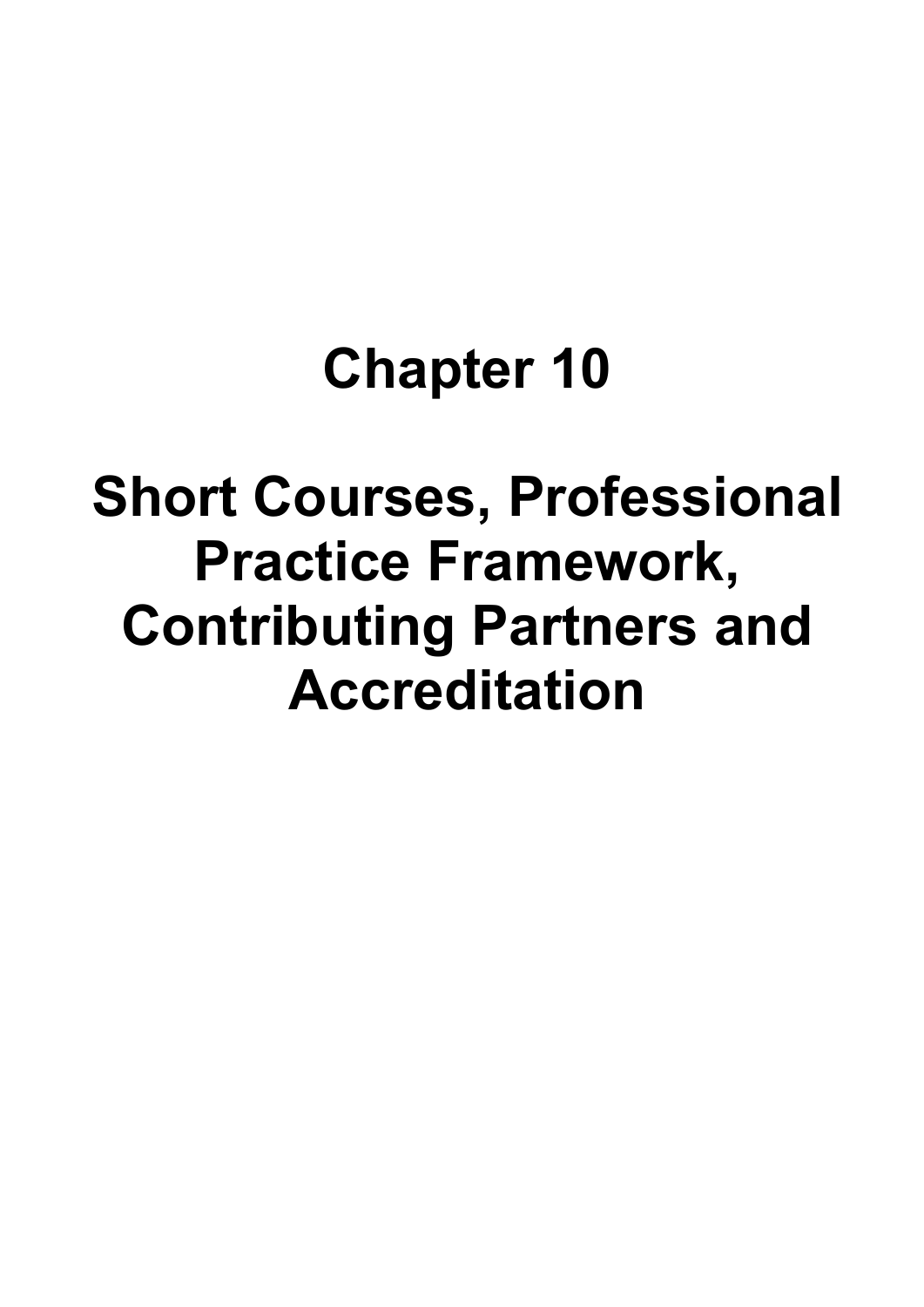# **Chapter 10**

# **Short Courses, Professional Practice Framework, Contributing Partners and Accreditation**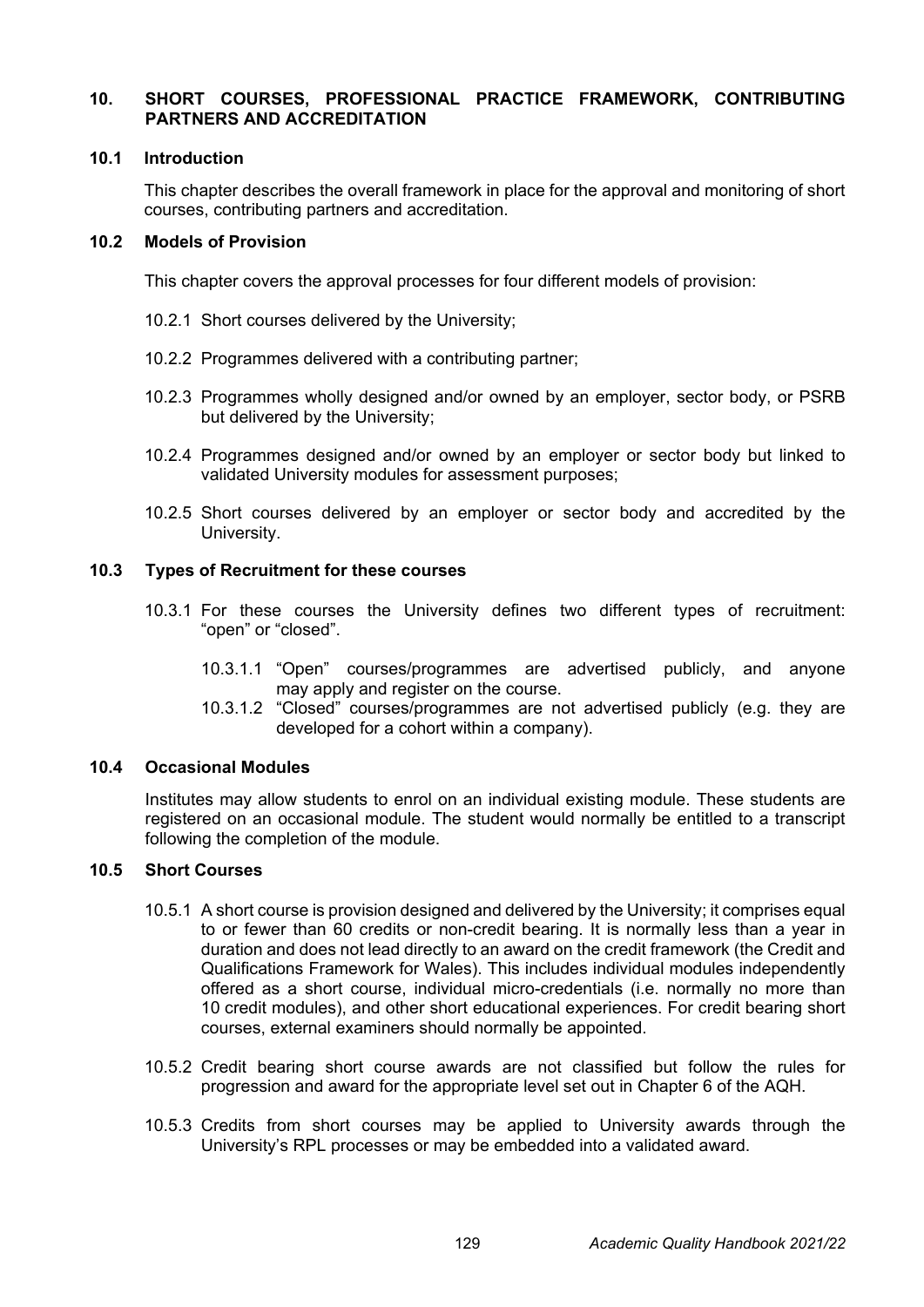# **10. SHORT COURSES, PROFESSIONAL PRACTICE FRAMEWORK, CONTRIBUTING PARTNERS AND ACCREDITATION**

#### **10.1 Introduction**

This chapter describes the overall framework in place for the approval and monitoring of short courses, contributing partners and accreditation.

#### **10.2 Models of Provision**

This chapter covers the approval processes for four different models of provision:

- 10.2.1 Short courses delivered by the University;
- 10.2.2 Programmes delivered with a contributing partner;
- 10.2.3 Programmes wholly designed and/or owned by an employer, sector body, or PSRB but delivered by the University;
- 10.2.4 Programmes designed and/or owned by an employer or sector body but linked to validated University modules for assessment purposes;
- 10.2.5 Short courses delivered by an employer or sector body and accredited by the University.

#### **10.3 Types of Recruitment for these courses**

- 10.3.1 For these courses the University defines two different types of recruitment: "open" or "closed".
	- 10.3.1.1 "Open" courses/programmes are advertised publicly, and anyone may apply and register on the course.
	- 10.3.1.2 "Closed" courses/programmes are not advertised publicly (e.g. they are developed for a cohort within a company).

#### **10.4 Occasional Modules**

Institutes may allow students to enrol on an individual existing module. These students are registered on an occasional module. The student would normally be entitled to a transcript following the completion of the module.

#### **10.5 Short Courses**

- 10.5.1 A short course is provision designed and delivered by the University; it comprises equal to or fewer than 60 credits or non-credit bearing. It is normally less than a year in duration and does not lead directly to an award on the credit framework (the Credit and Qualifications Framework for Wales). This includes individual modules independently offered as a short course, individual micro-credentials (i.e. normally no more than 10 credit modules), and other short educational experiences. For credit bearing short courses, external examiners should normally be appointed.
- 10.5.2 Credit bearing short course awards are not classified but follow the rules for progression and award for the appropriate level set out in Chapter 6 of the AQH.
- 10.5.3 Credits from short courses may be applied to University awards through the University's RPL processes or may be embedded into a validated award.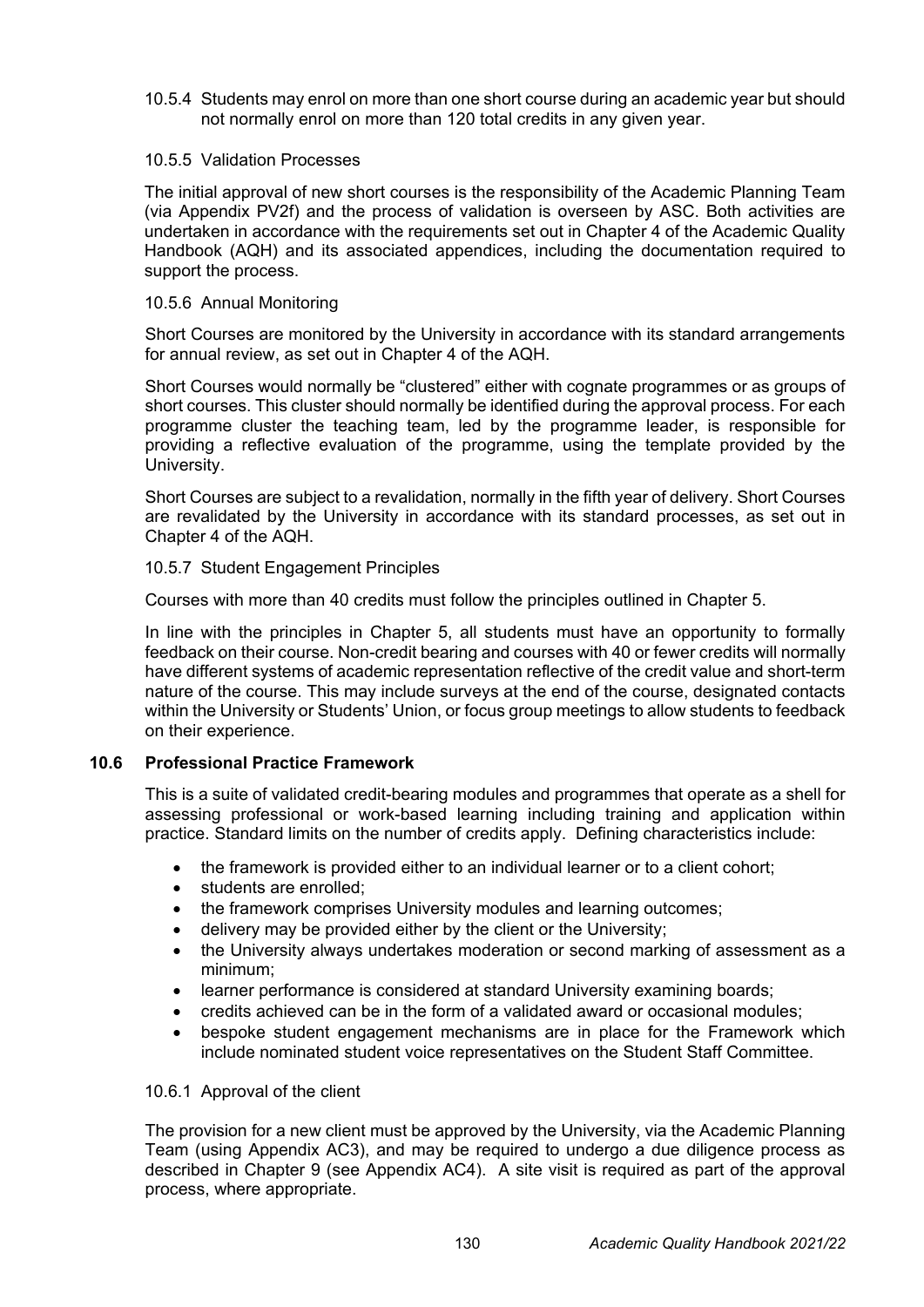10.5.4 Students may enrol on more than one short course during an academic year but should not normally enrol on more than 120 total credits in any given year.

# 10.5.5 Validation Processes

The initial approval of new short courses is the responsibility of the Academic Planning Team (via Appendix PV2f) and the process of validation is overseen by ASC. Both activities are undertaken in accordance with the requirements set out in Chapter 4 of the Academic Quality Handbook (AQH) and its associated appendices, including the documentation required to support the process.

# 10.5.6 Annual Monitoring

Short Courses are monitored by the University in accordance with its standard arrangements for annual review, as set out in Chapter 4 of the AQH.

Short Courses would normally be "clustered" either with cognate programmes or as groups of short courses. This cluster should normally be identified during the approval process. For each programme cluster the teaching team, led by the programme leader, is responsible for providing a reflective evaluation of the programme, using the template provided by the University.

Short Courses are subject to a revalidation, normally in the fifth year of delivery. Short Courses are revalidated by the University in accordance with its standard processes, as set out in Chapter 4 of the AQH.

# 10.5.7 Student Engagement Principles

Courses with more than 40 credits must follow the principles outlined in Chapter 5.

In line with the principles in Chapter 5, all students must have an opportunity to formally feedback on their course. Non-credit bearing and courses with 40 or fewer credits will normally have different systems of academic representation reflective of the credit value and short-term nature of the course. This may include surveys at the end of the course, designated contacts within the University or Students' Union, or focus group meetings to allow students to feedback on their experience.

# **10.6 Professional Practice Framework**

This is a suite of validated credit-bearing modules and programmes that operate as a shell for assessing professional or work-based learning including training and application within practice. Standard limits on the number of credits apply. Defining characteristics include:

- the framework is provided either to an individual learner or to a client cohort;
- students are enrolled;
- the framework comprises University modules and learning outcomes;
- delivery may be provided either by the client or the University;
- the University always undertakes moderation or second marking of assessment as a minimum;
- learner performance is considered at standard University examining boards;
- credits achieved can be in the form of a validated award or occasional modules;
- bespoke student engagement mechanisms are in place for the Framework which include nominated student voice representatives on the Student Staff Committee.

#### 10.6.1 Approval of the client

The provision for a new client must be approved by the University, via the Academic Planning Team (using Appendix AC3), and may be required to undergo a due diligence process as described in Chapter 9 (see Appendix AC4). A site visit is required as part of the approval process, where appropriate.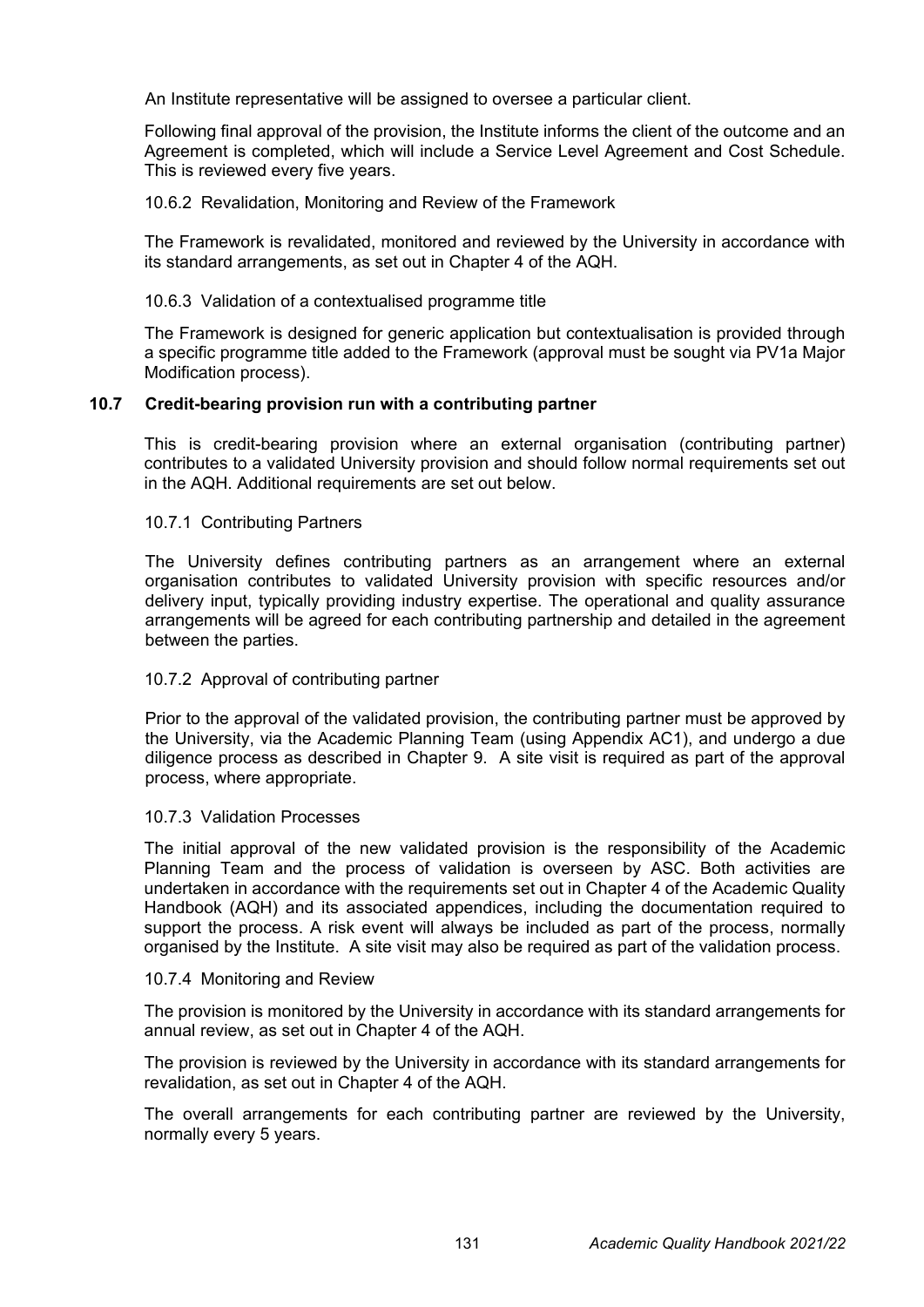An Institute representative will be assigned to oversee a particular client.

Following final approval of the provision, the Institute informs the client of the outcome and an Agreement is completed, which will include a Service Level Agreement and Cost Schedule. This is reviewed every five years.

10.6.2 Revalidation, Monitoring and Review of the Framework

The Framework is revalidated, monitored and reviewed by the University in accordance with its standard arrangements, as set out in Chapter 4 of the AQH.

# 10.6.3 Validation of a contextualised programme title

The Framework is designed for generic application but contextualisation is provided through a specific programme title added to the Framework (approval must be sought via PV1a Major Modification process).

# **10.7 Credit-bearing provision run with a contributing partner**

This is credit-bearing provision where an external organisation (contributing partner) contributes to a validated University provision and should follow normal requirements set out in the AQH. Additional requirements are set out below.

#### 10.7.1 Contributing Partners

The University defines contributing partners as an arrangement where an external organisation contributes to validated University provision with specific resources and/or delivery input, typically providing industry expertise. The operational and quality assurance arrangements will be agreed for each contributing partnership and detailed in the agreement between the parties.

#### 10.7.2 Approval of contributing partner

Prior to the approval of the validated provision, the contributing partner must be approved by the University, via the Academic Planning Team (using Appendix AC1), and undergo a due diligence process as described in Chapter 9. A site visit is required as part of the approval process, where appropriate.

#### 10.7.3 Validation Processes

The initial approval of the new validated provision is the responsibility of the Academic Planning Team and the process of validation is overseen by ASC. Both activities are undertaken in accordance with the requirements set out in Chapter 4 of the Academic Quality Handbook (AQH) and its associated appendices, including the documentation required to support the process. A risk event will always be included as part of the process, normally organised by the Institute. A site visit may also be required as part of the validation process.

#### 10.7.4 Monitoring and Review

The provision is monitored by the University in accordance with its standard arrangements for annual review, as set out in Chapter 4 of the AQH.

The provision is reviewed by the University in accordance with its standard arrangements for revalidation, as set out in Chapter 4 of the AQH.

The overall arrangements for each contributing partner are reviewed by the University, normally every 5 years.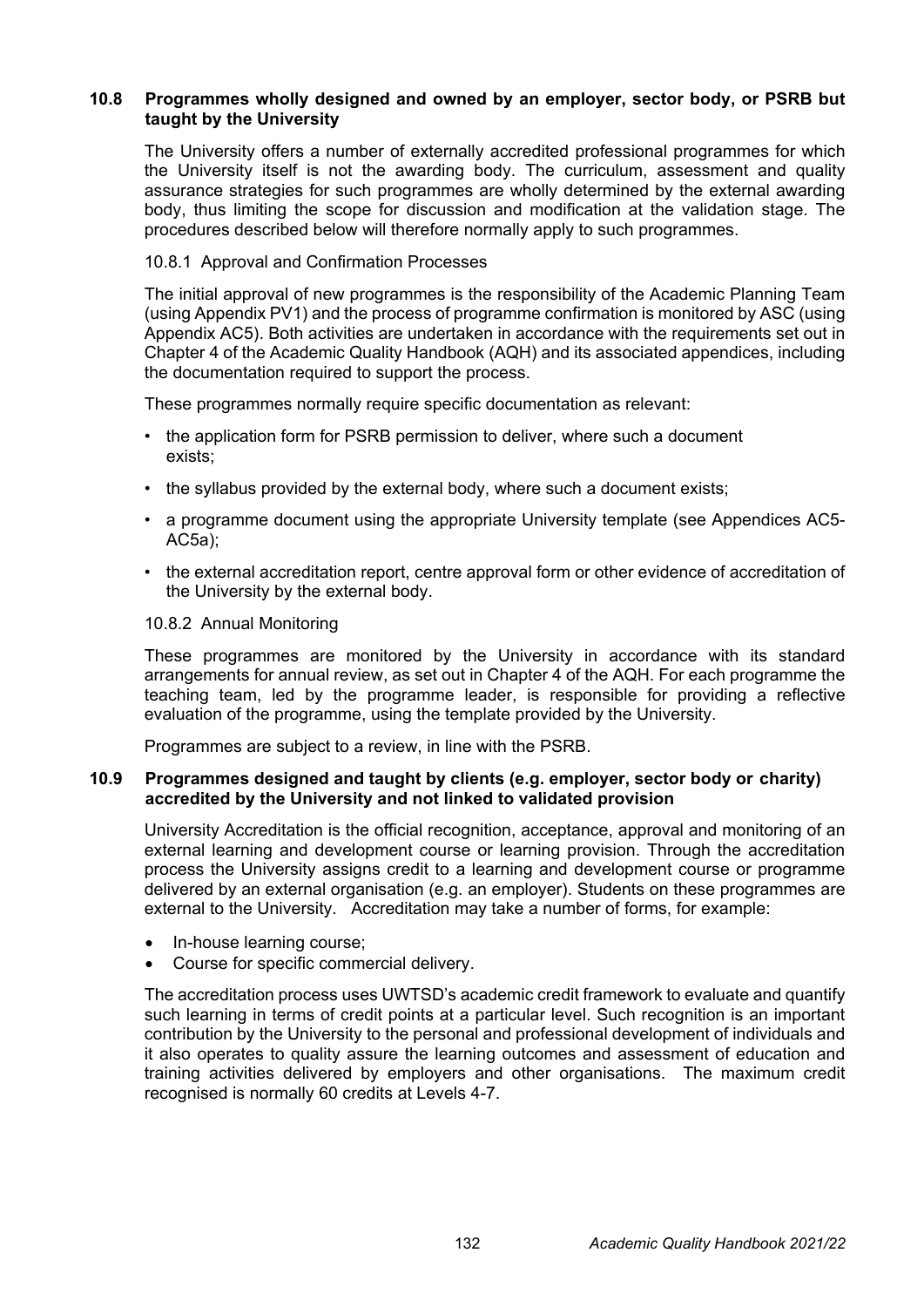# **10.8 Programmes wholly designed and owned by an employer, sector body, or PSRB but taught by the University**

The University offers a number of externally accredited professional programmes for which the University itself is not the awarding body. The curriculum, assessment and quality assurance strategies for such programmes are wholly determined by the external awarding body, thus limiting the scope for discussion and modification at the validation stage. The procedures described below will therefore normally apply to such programmes.

# 10.8.1 Approval and Confirmation Processes

The initial approval of new programmes is the responsibility of the Academic Planning Team (using Appendix PV1) and the process of programme confirmation is monitored by ASC (using Appendix AC5). Both activities are undertaken in accordance with the requirements set out in Chapter 4 of the Academic Quality Handbook (AQH) and its associated appendices, including the documentation required to support the process.

These programmes normally require specific documentation as relevant:

- the application form for PSRB permission to deliver, where such a document exists;
- the syllabus provided by the external body, where such a document exists;
- a programme document using the appropriate University template (see Appendices AC5- AC5a);
- the external accreditation report, centre approval form or other evidence of accreditation of the University by the external body.

#### 10.8.2 Annual Monitoring

These programmes are monitored by the University in accordance with its standard arrangements for annual review, as set out in Chapter 4 of the AQH. For each programme the teaching team, led by the programme leader, is responsible for providing a reflective evaluation of the programme, using the template provided by the University.

Programmes are subject to a review, in line with the PSRB.

# **10.9 Programmes designed and taught by clients (e.g. employer, sector body or charity) accredited by the University and not linked to validated provision**

University Accreditation is the official recognition, acceptance, approval and monitoring of an external learning and development course or learning provision. Through the accreditation process the University assigns credit to a learning and development course or programme delivered by an external organisation (e.g. an employer). Students on these programmes are external to the University. Accreditation may take a number of forms, for example:

- In-house learning course;
- Course for specific commercial delivery.

The accreditation process uses UWTSD's academic credit framework to evaluate and quantify such learning in terms of credit points at a particular level. Such recognition is an important contribution by the University to the personal and professional development of individuals and it also operates to quality assure the learning outcomes and assessment of education and training activities delivered by employers and other organisations. The maximum credit recognised is normally 60 credits at Levels 4-7.